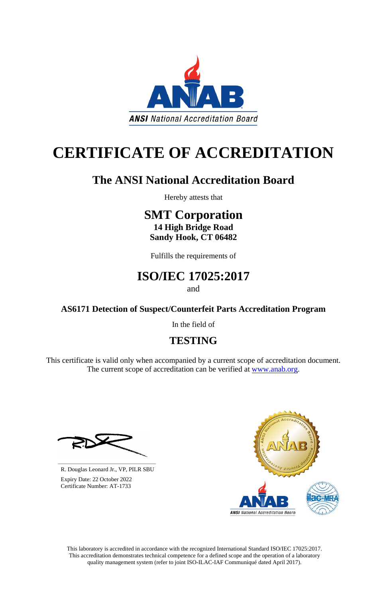This laboratory is accredited in accordance with the recognized International Standard ISO/IEC 17025:2017. This accreditation demonstrates technical competence for a defined scope and the operation of a laboratory quality management system (refer to joint ISO-ILAC-IAF Communiqué dated April 2017).

This certificate is valid only when accompanied by a current scope of accreditation document. The current scope of accreditation can be verified at [www.anab.org.](http://www.anab.org/)







# **CERTIFICATE OF ACCREDITATION**

## **The ANSI National Accreditation Board**

Hereby attests that

### **SMT Corporation 14 High Bridge Road Sandy Hook, CT 06482**

Fulfills the requirements of

### **ISO/IEC 17025:2017**

and

**AS6171 Detection of Suspect/Counterfeit Parts Accreditation Program**

In the field of

### **TESTING**

**\_\_\_\_\_\_\_\_\_\_\_\_\_\_\_\_\_\_\_\_\_\_\_\_\_\_\_\_\_\_** R. Douglas Leonard Jr., VP, PILR SBU

 Expiry Date: 22 October 2022 Certificate Number: AT-1733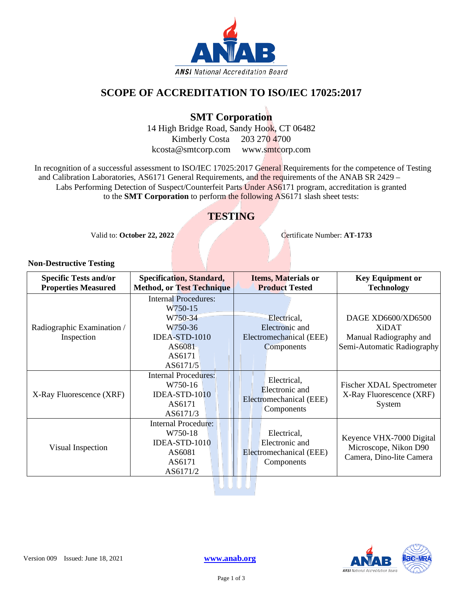

#### **SCOPE OF ACCREDITATION TO ISO/IEC 17025:2017**

#### **SMT Corporation**

14 High Bridge Road, Sandy Hook, CT 06482 Kimberly Costa 203 270 4700 kcosta@smtcorp.com www.smtcorp.com

In recognition of a successful assessment to ISO/IEC 17025:2017 General Requirements for the competence of Testing and Calibration Laboratories, AS6171 General Requirements, and the requirements of the ANAB SR 2429 – Labs Performing Detection of Suspect/Counterfeit Parts Under AS6171 program, accreditation is granted to the **SMT Corporation** to perform the following AS6171 slash sheet tests:

#### **TESTING**

Valid to: **October 22, 2022** Certificate Number: **AT-1733** 

#### **Non-Destructive Testing**

| <b>Specific Tests and/or</b><br><b>Properties Measured</b> | <b>Specification, Standard,</b><br><b>Method, or Test Technique</b>                                           | <b>Items, Materials or</b><br><b>Product Tested</b>                           | <b>Key Equipment or</b><br><b>Technology</b>                                               |
|------------------------------------------------------------|---------------------------------------------------------------------------------------------------------------|-------------------------------------------------------------------------------|--------------------------------------------------------------------------------------------|
| Radiographic Examination /<br>Inspection                   | <b>Internal Procedures:</b><br>W750-15<br>W750-34<br>W750-36<br>IDEA-STD-1010<br>AS6081<br>AS6171<br>AS6171/5 | Electrical,<br>Electronic and<br>Electromechanical (EEE)<br><b>Components</b> | DAGE XD6600/XD6500<br><b>XiDAT</b><br>Manual Radiography and<br>Semi-Automatic Radiography |
| X-Ray Fluorescence (XRF)                                   | <b>Internal Procedures:</b><br>W750-16<br>IDEA-STD-1010<br>AS6171<br>AS6171/3                                 | Electrical,<br>Electronic and<br>Electromechanical (EEE)<br>Components        | <b>Fischer XDAL Spectrometer</b><br>X-Ray Fluorescence (XRF)<br>System                     |
| Visual Inspection                                          | <b>Internal Procedure:</b><br>W750-18<br>IDEA-STD-1010<br>AS6081<br>AS6171<br>AS6171/2                        | Electrical,<br>Electronic and<br>Electromechanical (EEE)<br>Components        | Keyence VHX-7000 Digital<br>Microscope, Nikon D90<br>Camera, Dino-lite Camera              |

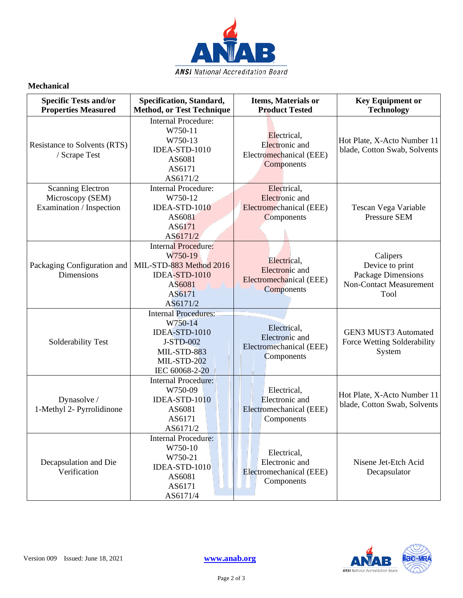

#### **Mechanical**

| <b>Specific Tests and/or</b><br><b>Properties Measured</b>               | Specification, Standard,<br><b>Method, or Test Technique</b>                                                         | Items, Materials or<br><b>Product Tested</b>                                         | <b>Key Equipment or</b><br><b>Technology</b>                                                       |
|--------------------------------------------------------------------------|----------------------------------------------------------------------------------------------------------------------|--------------------------------------------------------------------------------------|----------------------------------------------------------------------------------------------------|
| <b>Resistance to Solvents (RTS)</b><br>/ Scrape Test                     | <b>Internal Procedure:</b><br>W750-11<br>W750-13<br>IDEA-STD-1010<br>AS6081<br>AS6171<br>AS6171/2                    | Electrical,<br>Electronic and<br>Electromechanical (EEE)<br>Components               | Hot Plate, X-Acto Number 11<br>blade, Cotton Swab, Solvents                                        |
| <b>Scanning Electron</b><br>Microscopy (SEM)<br>Examination / Inspection | <b>Internal Procedure:</b><br>W750-12<br>IDEA-STD-1010<br>AS6081<br>AS6171<br>AS6171/2                               | Electrical,<br><b>Electronic</b> and<br>Electromechanical (EEE)<br><b>Components</b> | Tescan Vega Variable<br><b>Pressure SEM</b>                                                        |
| Packaging Configuration and<br><b>Dimensions</b>                         | <b>Internal Procedure:</b><br>W750-19<br>MIL-STD-883 Method 2016<br>IDEA-STD-1010<br>AS6081<br>AS6171<br>AS6171/2    | Electrical,<br>Electronic and<br>Electromechanical (EEE)<br>Components               | Calipers<br>Device to print<br><b>Package Dimensions</b><br><b>Non-Contact Measurement</b><br>Tool |
| Solderability Test                                                       | <b>Internal Procedures:</b><br>W750-14<br>IDEA-STD-1010<br>J-STD-002<br>MIL-STD-883<br>MIL-STD-202<br>IEC 60068-2-20 | Electrical,<br>Electronic and<br>Electromechanical (EEE)<br>Components               | <b>GEN3 MUST3 Automated</b><br>Force Wetting Solderability<br>System                               |
| Dynasolve /<br>1-Methyl 2- Pyrrolidinone                                 | <b>Internal Procedure:</b><br>W750-09<br>IDEA-STD-1010<br>AS6081<br>AS6171<br>AS6171/2                               | Electrical,<br>Electronic and<br>Electromechanical (EEE)<br>Components               | Hot Plate, X-Acto Number 11<br>blade, Cotton Swab, Solvents                                        |
| Decapsulation and Die<br>Verification                                    | <b>Internal Procedure:</b><br>W750-10<br>W750-21<br>IDEA-STD-1010<br>AS6081<br>AS6171<br>AS6171/4                    | Electrical,<br>Electronic and<br>Electromechanical (EEE)<br>Components               | Nisene Jet-Etch Acid<br>Decapsulator                                                               |